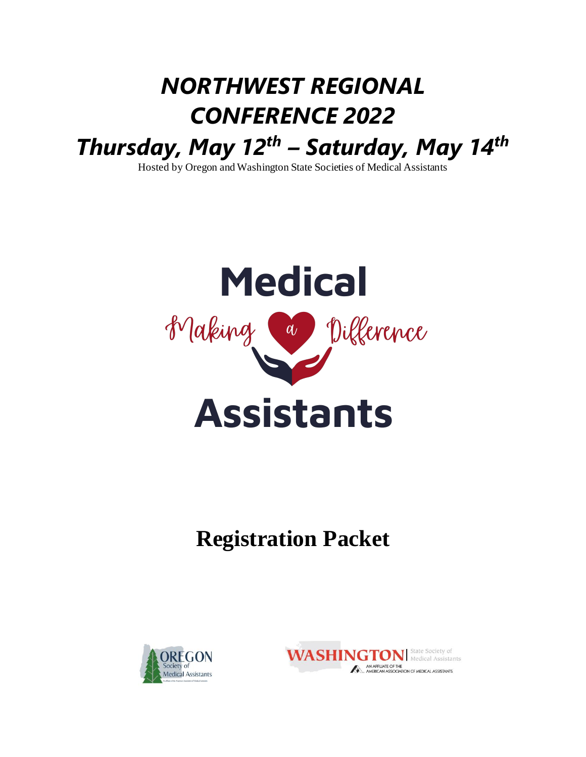# *NORTHWEST REGIONAL CONFERENCE 2022 Thursday, May 12th – Saturday, May 14th*

Hosted by Oregon and Washington State Societies of Medical Assistants



# **Registration Packet**



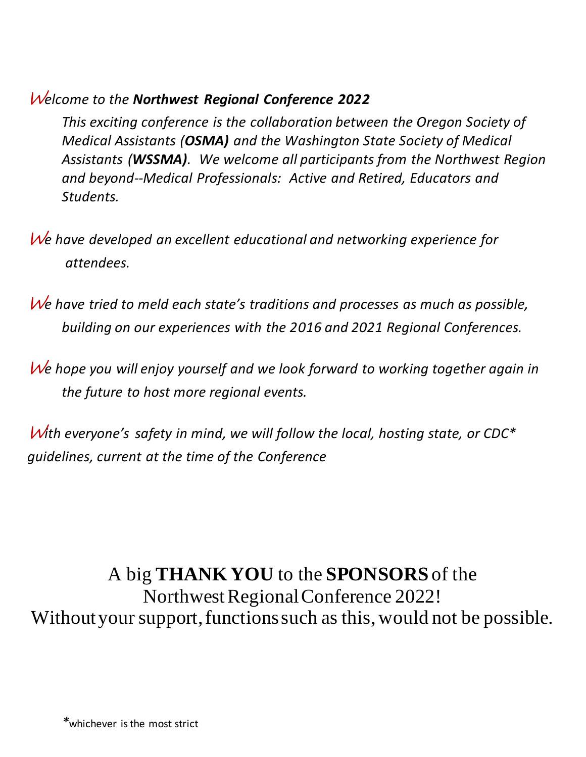## W*elcome to the Northwest Regional Conference 2022*

*This exciting conference is the collaboration between the Oregon Society of Medical Assistants (OSMA) and the Washington State Society of Medical Assistants (WSSMA). We welcome all participants from the Northwest Region and beyond--Medical Professionals: Active and Retired, Educators and Students.* 

- W*e have developed an excellent educational and networking experience for attendees.*
- W*e have tried to meld each state's traditions and processes as much as possible, building on our experiences with the 2016 and 2021 Regional Conferences.*
- W*e hope you will enjoy yourself and we look forward to working together again in the future to host more regional events.*

W*ith everyone's safety in mind, we will follow the local, hosting state, or CDC\* guidelines, current at the time of the Conference*

# A big **THANK YOU** to the **SPONSORS** of the

Northwest Regional Conference 2022! Without your support, functions such as this, would not be possible.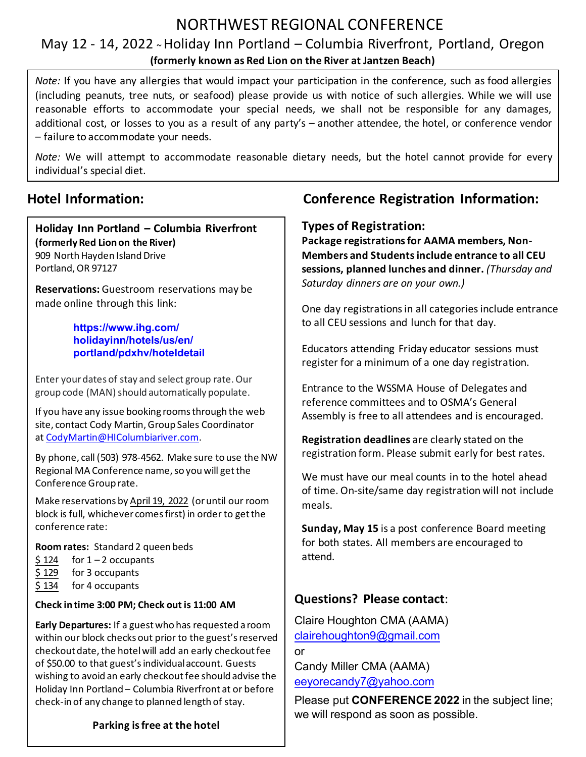# NORTHWEST REGIONAL CONFERENCE

### May 12 - 14, 2022 <sup>~</sup>Holiday Inn Portland – Columbia Riverfront, Portland, Oregon **(formerly known as Red Lion on the River at Jantzen Beach)**

*Note:* If you have any allergies that would impact your participation in the conference, such as food allergies (including peanuts, tree nuts, or seafood) please provide us with notice of such allergies. While we will use reasonable efforts to accommodate your special needs, we shall not be responsible for any damages, additional cost, or losses to you as a result of any party's – another attendee, the hotel, or conference vendor – failure to accommodate your needs.

*Note:* We will attempt to accommodate reasonable dietary needs, but the hotel cannot provide for every individual's special diet.

**Holiday Inn Portland – Columbia Riverfront (formerly Red Lion on the River)**  909 North Hayden Island Drive Portland, OR 97127

**Reservations:** Guestroom reservations may be [made online through this link:](https://www.ihg.com/holidayinn/hotels/us/en/portland/pdxhv/hoteldetail?fromRedirect=true&qSrt=sBR&qIta=99801505&icdv=99801505&qSlH=PDXHV&qGrpCd=MAN&setPMCookies=true&qSHBrC=HI&qDest=909%20N.%20Hayden%20Island%20Drive,%20Portland,%20OR,%20US&srb_u=1) 

> **[https://www.ihg.com/](https://www.ihg.com/holidayinn/hotels/us/en/portland/pdxhv/hoteldetail?fromRedirect=true&qSrt=sBR&qIta=99801505&icdv=99801505&qSlH=PDXHV&qGrpCd=MAN&setPMCookies=true&qSHBrC=HI&qDest=909%20N.%20Hayden%20Island%20Drive,%20Portland,%20OR,%20US&srb_u=1) [holidayinn/hotels/us/en/](https://www.ihg.com/holidayinn/hotels/us/en/portland/pdxhv/hoteldetail?fromRedirect=true&qSrt=sBR&qIta=99801505&icdv=99801505&qSlH=PDXHV&qGrpCd=MAN&setPMCookies=true&qSHBrC=HI&qDest=909%20N.%20Hayden%20Island%20Drive,%20Portland,%20OR,%20US&srb_u=1) [portland/pdxhv/hoteldetail](https://www.ihg.com/holidayinn/hotels/us/en/portland/pdxhv/hoteldetail)**

[Enter yo](https://www.ihg.com/holidayinn/hotels/us/en/portland/pdxhv/hoteldetail?fromRedirect=true&qSrt=sBR&qIta=99801505&icdv=99801505&qSlH=PDXHV&qGrpCd=MAN&setPMCookies=true&qSHBrC=HI&qDest=909%20N.%20Hayden%20Island%20Drive,%20Portland,%20OR,%20US&srb_u=1)ur dates of stay and select group rate. Our group code (MAN) should automatically populate.

If you have any issue booking rooms through the web site, contact Cody Martin, Group Sales Coordinator at [CodyMartin@HIColumbiariver.com](mailto:CodyMartin@HIColumbiariver.com).

By phone, call (503) 978-4562. Make sure to use the NW Regional MA Conference name, so you will get the Conference Group rate.

Make reservations by April 19, 2022 (or until our room block is full, whichever comes first) in order to get the conference rate:

**Room rates:** Standard 2 queen beds

- $$ 124$  for  $1 2$  occupants
- \$ 129 for 3 occupants
- \$ 134 for 4 occupants

#### **Check in time 3:00 PM; Check out is 11:00 AM**

**Early Departures:** If a guest who has requested a room within our block checks out prior to the guest's reserved checkout date, the hotel will add an early checkout fee of \$50.00 to that guest's individual account. Guests wishing to avoid an early checkout fee should advise the Holiday Inn Portland – Columbia Riverfront at or before check-in of any change to planned length of stay.

### **Hotel Information: Conference Registration Information:**

#### **Types of Registration:**

**Package registrations for AAMA members, Non-Members and Students include entrance to all CEU sessions, planned lunches and dinner.** *(Thursday and Saturday dinners are on your own.)*

One day registrations in all categories include entrance to all CEU sessions and lunch for that day.

Educators attending Friday educator sessions must register for a minimum of a one day registration.

Entrance to the WSSMA House of Delegates and reference committees and to OSMA's General Assembly is free to all attendees and is encouraged.

**Registration deadlines** are clearly stated on the registration form. Please submit early for best rates.

We must have our meal counts in to the hotel ahead of time. On-site/same day registration will not include meals.

**Sunday, May 15** is a post conference Board meeting for both states. All members are encouraged to attend.

### **Questions? Please contact**:

Claire Houghton CMA (AAMA) [clairehoughton9@gmail.com](mailto:clairehoughton9@gmail.com)  or Candy Miller CMA (AAMA)

[eeyorecandy7@yahoo.com](mailto:eeyorecandy7@yahoo.com)

Please put **CONFERENCE 2022** in the subject line; we will respond as soon as possible.

#### **Parking is free at the hotel**